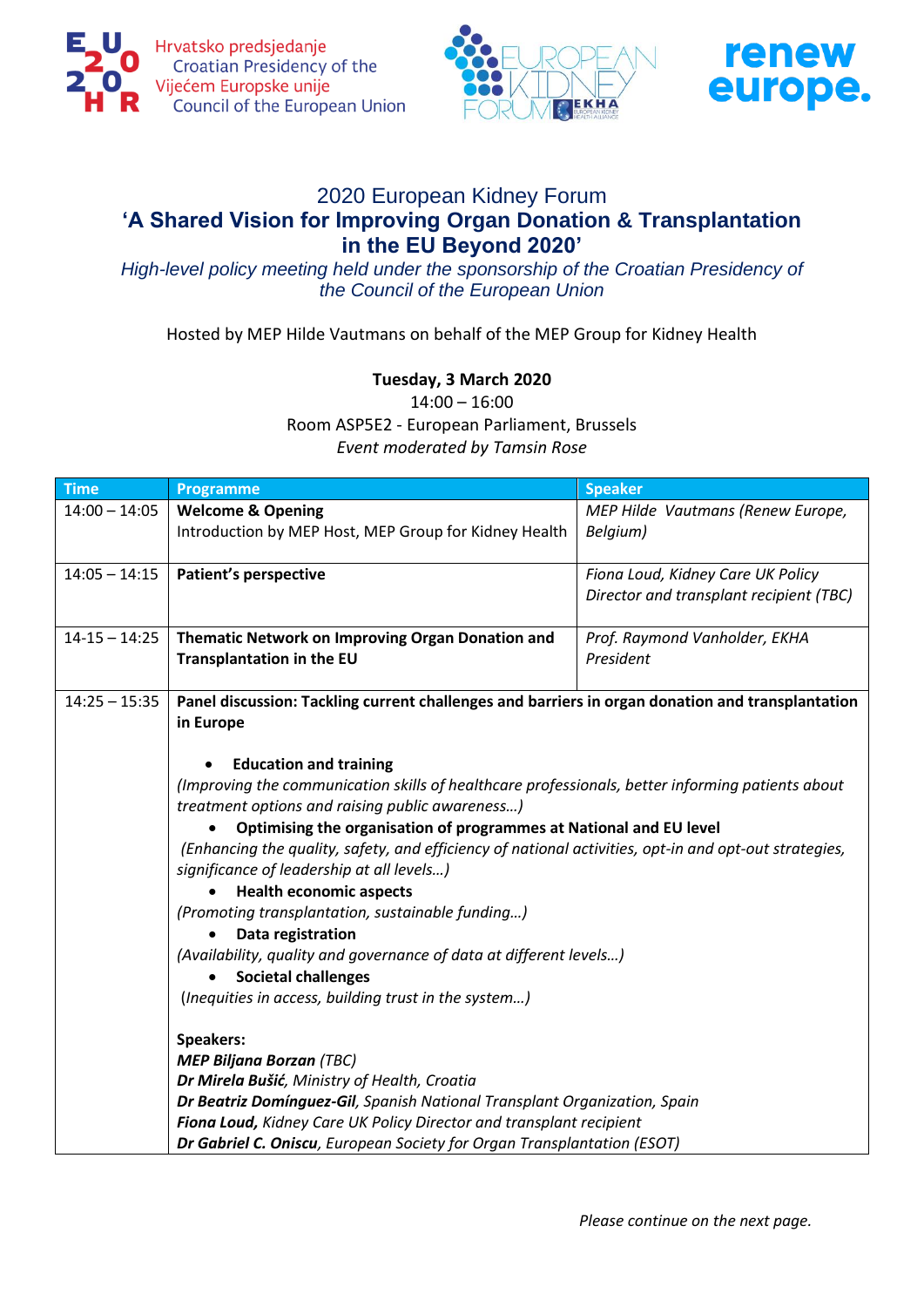





## 2020 European Kidney Forum **'A Shared Vision for Improving Organ Donation & Transplantation in the EU Beyond 2020'**

*High-level policy meeting held under the sponsorship of the Croatian Presidency of the Council of the European Union*

Hosted by MEP Hilde Vautmans on behalf of the MEP Group for Kidney Health

## **Tuesday, 3 March 2020**

14:00 – 16:00

Room ASP5E2 - European Parliament, Brussels

*Event moderated by Tamsin Rose*

| <b>Time</b>       | Programme                                                                                                                                                                                                                                                                                                                                                                                                                                                                                                                                                                                                                                                                                                                                                                                                                                                                                                                                                                                                                     | <b>Speaker</b>                          |  |
|-------------------|-------------------------------------------------------------------------------------------------------------------------------------------------------------------------------------------------------------------------------------------------------------------------------------------------------------------------------------------------------------------------------------------------------------------------------------------------------------------------------------------------------------------------------------------------------------------------------------------------------------------------------------------------------------------------------------------------------------------------------------------------------------------------------------------------------------------------------------------------------------------------------------------------------------------------------------------------------------------------------------------------------------------------------|-----------------------------------------|--|
| $14:00 - 14:05$   | <b>Welcome &amp; Opening</b>                                                                                                                                                                                                                                                                                                                                                                                                                                                                                                                                                                                                                                                                                                                                                                                                                                                                                                                                                                                                  | MEP Hilde Vautmans (Renew Europe,       |  |
|                   | Introduction by MEP Host, MEP Group for Kidney Health                                                                                                                                                                                                                                                                                                                                                                                                                                                                                                                                                                                                                                                                                                                                                                                                                                                                                                                                                                         | Belgium)                                |  |
| $14:05 - 14:15$   | <b>Patient's perspective</b>                                                                                                                                                                                                                                                                                                                                                                                                                                                                                                                                                                                                                                                                                                                                                                                                                                                                                                                                                                                                  | Fiona Loud, Kidney Care UK Policy       |  |
|                   |                                                                                                                                                                                                                                                                                                                                                                                                                                                                                                                                                                                                                                                                                                                                                                                                                                                                                                                                                                                                                               | Director and transplant recipient (TBC) |  |
| $14 - 15 - 14:25$ | Thematic Network on Improving Organ Donation and                                                                                                                                                                                                                                                                                                                                                                                                                                                                                                                                                                                                                                                                                                                                                                                                                                                                                                                                                                              | Prof. Raymond Vanholder, EKHA           |  |
|                   | <b>Transplantation in the EU</b>                                                                                                                                                                                                                                                                                                                                                                                                                                                                                                                                                                                                                                                                                                                                                                                                                                                                                                                                                                                              | President                               |  |
| $14:25 - 15:35$   | Panel discussion: Tackling current challenges and barriers in organ donation and transplantation<br>in Europe                                                                                                                                                                                                                                                                                                                                                                                                                                                                                                                                                                                                                                                                                                                                                                                                                                                                                                                 |                                         |  |
|                   | <b>Education and training</b><br>(Improving the communication skills of healthcare professionals, better informing patients about<br>treatment options and raising public awareness)<br>Optimising the organisation of programmes at National and EU level<br>(Enhancing the quality, safety, and efficiency of national activities, opt-in and opt-out strategies,<br>significance of leadership at all levels)<br><b>Health economic aspects</b><br>(Promoting transplantation, sustainable funding)<br>Data registration<br>(Availability, quality and governance of data at different levels)<br><b>Societal challenges</b><br>(Inequities in access, building trust in the system)<br><b>Speakers:</b><br><b>MEP Biljana Borzan (TBC)</b><br>Dr Mirela Bušić, Ministry of Health, Croatia<br>Dr Beatriz Domínguez-Gil, Spanish National Transplant Organization, Spain<br>Fiona Loud, Kidney Care UK Policy Director and transplant recipient<br>Dr Gabriel C. Oniscu, European Society for Organ Transplantation (ESOT) |                                         |  |